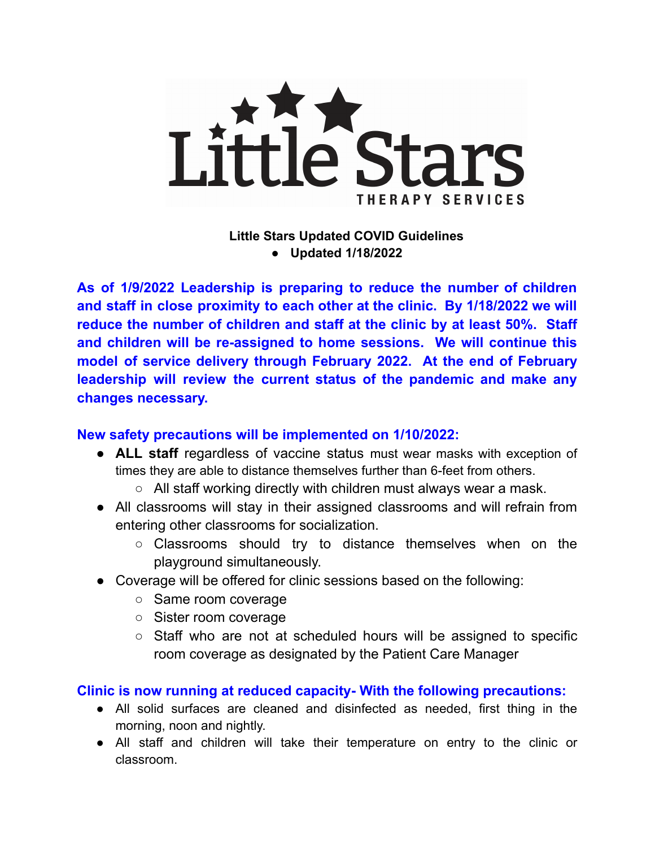

**Little Stars Updated COVID Guidelines ● Updated 1/18/2022**

**As of 1/9/2022 Leadership is preparing to reduce the number of children and staff in close proximity to each other at the clinic. By 1/18/2022 we will reduce the number of children and staff at the clinic by at least 50%. Staff and children will be re-assigned to home sessions. We will continue this model of service delivery through February 2022. At the end of February leadership will review the current status of the pandemic and make any changes necessary.**

## **New safety precautions will be implemented on 1/10/2022:**

- **ALL staff** regardless of vaccine status must wear masks with exception of times they are able to distance themselves further than 6-feet from others.
	- $\circ$  All staff working directly with children must always wear a mask.
- All classrooms will stay in their assigned classrooms and will refrain from entering other classrooms for socialization.
	- Classrooms should try to distance themselves when on the playground simultaneously.
- Coverage will be offered for clinic sessions based on the following:
	- Same room coverage
	- Sister room coverage
	- Staff who are not at scheduled hours will be assigned to specific room coverage as designated by the Patient Care Manager

## **Clinic is now running at reduced capacity- With the following precautions:**

- All solid surfaces are cleaned and disinfected as needed, first thing in the morning, noon and nightly.
- All staff and children will take their temperature on entry to the clinic or classroom.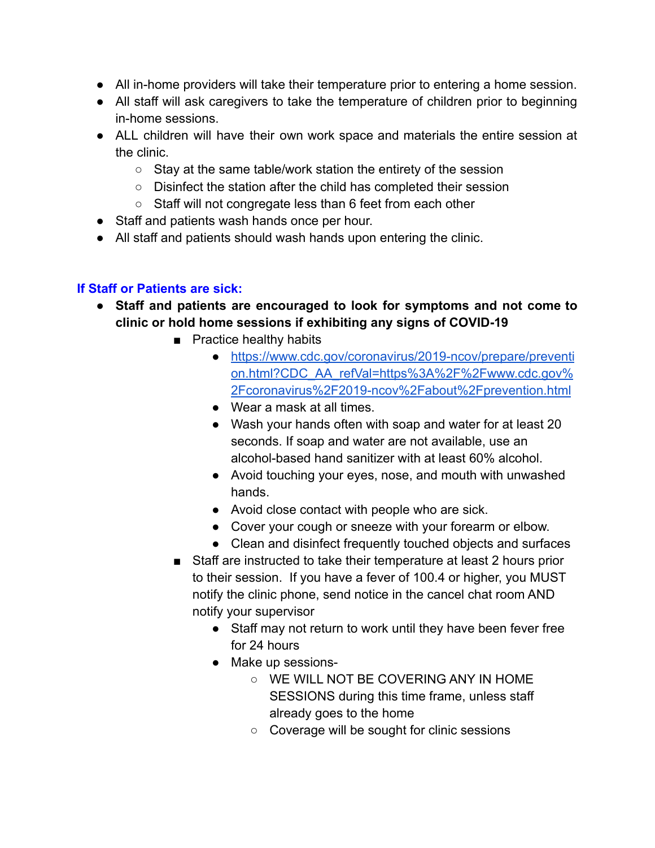- All in-home providers will take their temperature prior to entering a home session.
- All staff will ask caregivers to take the temperature of children prior to beginning in-home sessions.
- ALL children will have their own work space and materials the entire session at the clinic.
	- Stay at the same table/work station the entirety of the session
	- Disinfect the station after the child has completed their session
	- Staff will not congregate less than 6 feet from each other
- Staff and patients wash hands once per hour.
- All staff and patients should wash hands upon entering the clinic.

### **If Staff or Patients are sick:**

- **Staff and patients are encouraged to look for symptoms and not come to clinic or hold home sessions if exhibiting any signs of COVID-19**
	- Practice healthy habits
		- [https://www.cdc.gov/coronavirus/2019-ncov/prepare/preventi](https://www.cdc.gov/coronavirus/2019-ncov/prepare/prevention.html?CDC_AA_refVal=https%3A%2F%2Fwww.cdc.gov%2Fcoronavirus%2F2019-ncov%2Fabout%2Fprevention.html) [on.html?CDC\\_AA\\_refVal=https%3A%2F%2Fwww.cdc.gov%](https://www.cdc.gov/coronavirus/2019-ncov/prepare/prevention.html?CDC_AA_refVal=https%3A%2F%2Fwww.cdc.gov%2Fcoronavirus%2F2019-ncov%2Fabout%2Fprevention.html) [2Fcoronavirus%2F2019-ncov%2Fabout%2Fprevention.html](https://www.cdc.gov/coronavirus/2019-ncov/prepare/prevention.html?CDC_AA_refVal=https%3A%2F%2Fwww.cdc.gov%2Fcoronavirus%2F2019-ncov%2Fabout%2Fprevention.html)
		- Wear a mask at all times.
		- Wash your hands often with soap and water for at least 20 seconds. If soap and water are not available, use an alcohol-based hand sanitizer with at least 60% alcohol.
		- Avoid touching your eyes, nose, and mouth with unwashed hands.
		- Avoid close contact with people who are sick.
		- Cover your cough or sneeze with your forearm or elbow.
		- Clean and disinfect frequently touched objects and surfaces
	- Staff are instructed to take their temperature at least 2 hours prior to their session. If you have a fever of 100.4 or higher, you MUST notify the clinic phone, send notice in the cancel chat room AND notify your supervisor
		- Staff may not return to work until they have been fever free for 24 hours
		- Make up sessions-
			- WE WILL NOT BE COVERING ANY IN HOME SESSIONS during this time frame, unless staff already goes to the home
			- Coverage will be sought for clinic sessions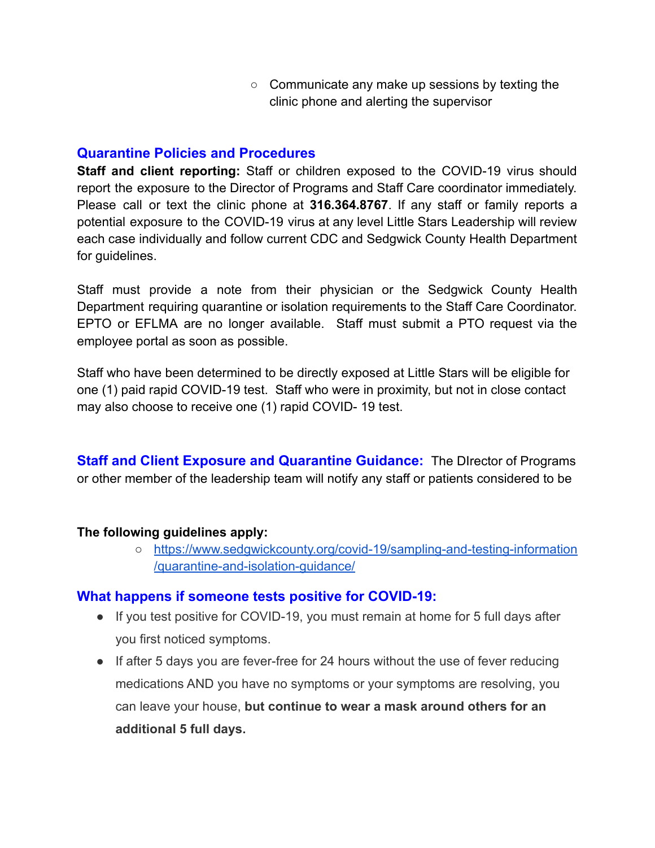○ Communicate any make up sessions by texting the clinic phone and alerting the supervisor

### **Quarantine Policies and Procedures**

**Staff and client reporting:** Staff or children exposed to the COVID-19 virus should report the exposure to the Director of Programs and Staff Care coordinator immediately. Please call or text the clinic phone at **316.364.8767**. If any staff or family reports a potential exposure to the COVID-19 virus at any level Little Stars Leadership will review each case individually and follow current CDC and Sedgwick County Health Department for guidelines.

Staff must provide a note from their physician or the Sedgwick County Health Department requiring quarantine or isolation requirements to the Staff Care Coordinator. EPTO or EFLMA are no longer available. Staff must submit a PTO request via the employee portal as soon as possible.

Staff who have been determined to be directly exposed at Little Stars will be eligible for one (1) paid rapid COVID-19 test. Staff who were in proximity, but not in close contact may also choose to receive one (1) rapid COVID- 19 test.

**Staff and Client Exposure and Quarantine Guidance:** The DIrector of Programs or other member of the leadership team will notify any staff or patients considered to be

### **The following guidelines apply:**

○ [https://www.sedgwickcounty.org/covid-19/sampling-and-testing-information](https://www.sedgwickcounty.org/covid-19/sampling-and-testing-information/quarantine-and-isolation-guidance/) [/quarantine-and-isolation-guidance/](https://www.sedgwickcounty.org/covid-19/sampling-and-testing-information/quarantine-and-isolation-guidance/)

### **What happens if someone tests positive for COVID-19:**

- If you test positive for COVID-19, you must remain at home for 5 full days after you first noticed symptoms.
- If after 5 days you are fever-free for 24 hours without the use of fever reducing medications AND you have no symptoms or your symptoms are resolving, you can leave your house, **but continue to wear a mask around others for an additional 5 full days.**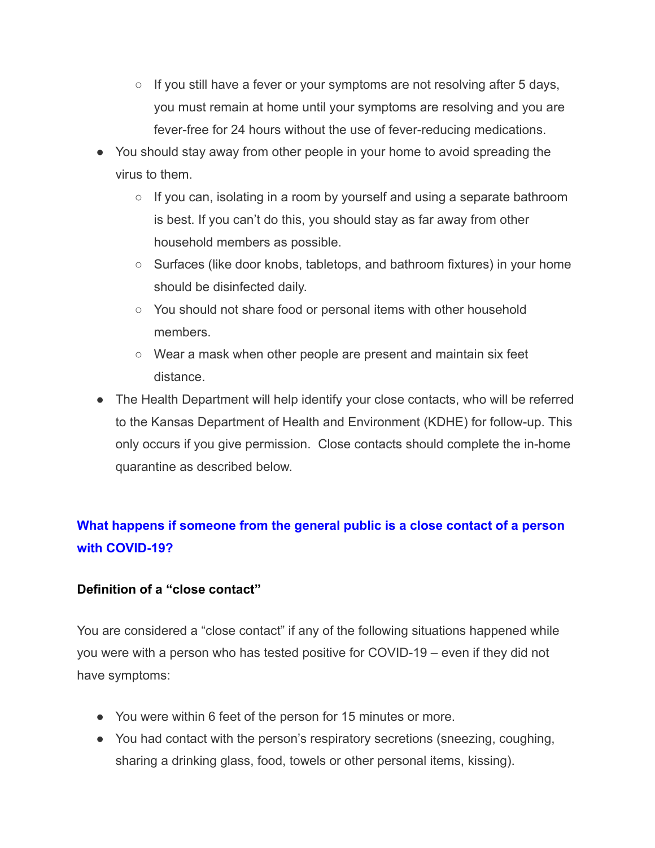- $\circ$  If you still have a fever or your symptoms are not resolving after 5 days, you must remain at home until your symptoms are resolving and you are fever-free for 24 hours without the use of fever-reducing medications.
- You should stay away from other people in your home to avoid spreading the virus to them.
	- $\circ$  If you can, isolating in a room by yourself and using a separate bathroom is best. If you can't do this, you should stay as far away from other household members as possible.
	- Surfaces (like door knobs, tabletops, and bathroom fixtures) in your home should be disinfected daily.
	- You should not share food or personal items with other household members.
	- Wear a mask when other people are present and maintain six feet distance.
- The Health Department will help identify your close contacts, who will be referred to the Kansas Department of Health and Environment (KDHE) for follow-up. This only occurs if you give permission. Close contacts should complete the in-home quarantine as described below.

## **What happens if someone from the general public is a close contact of a person with COVID-19?**

### **Definition of a "close contact"**

You are considered a "close contact" if any of the following situations happened while you were with a person who has tested positive for COVID-19 – even if they did not have symptoms:

- You were within 6 feet of the person for 15 minutes or more.
- You had contact with the person's respiratory secretions (sneezing, coughing, sharing a drinking glass, food, towels or other personal items, kissing).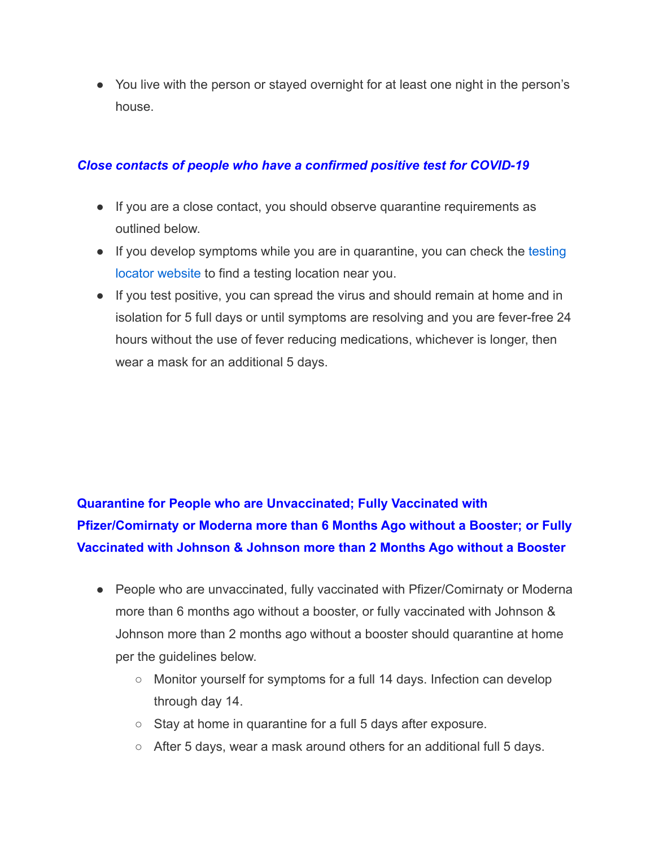● You live with the person or stayed overnight for at least one night in the person's house.

### *Close contacts of people who have a confirmed positive test for COVID-19*

- If you are a close contact, you should observe quarantine requirements as outlined below.
- If you develop symptoms while you are in quarantine, you can check the [testing](https://sedgwickcounty.maps.arcgis.com/apps/webappviewer/index.html?id=0b0ee46ff54344d3a8fe77f792692df3) [locator website](https://sedgwickcounty.maps.arcgis.com/apps/webappviewer/index.html?id=0b0ee46ff54344d3a8fe77f792692df3) to find a testing location near you.
- If you test positive, you can spread the virus and should remain at home and in isolation for 5 full days or until symptoms are resolving and you are fever-free 24 hours without the use of fever reducing medications, whichever is longer, then wear a mask for an additional 5 days.

# **Quarantine for People who are Unvaccinated; Fully Vaccinated with Pfizer/Comirnaty or Moderna more than 6 Months Ago without a Booster; or Fully Vaccinated with Johnson & Johnson more than 2 Months Ago without a Booster**

- People who are unvaccinated, fully vaccinated with Pfizer/Comirnaty or Moderna more than 6 months ago without a booster, or fully vaccinated with Johnson & Johnson more than 2 months ago without a booster should quarantine at home per the guidelines below.
	- Monitor yourself for symptoms for a full 14 days. Infection can develop through day 14.
	- Stay at home in quarantine for a full 5 days after exposure.
	- After 5 days, wear a mask around others for an additional full 5 days.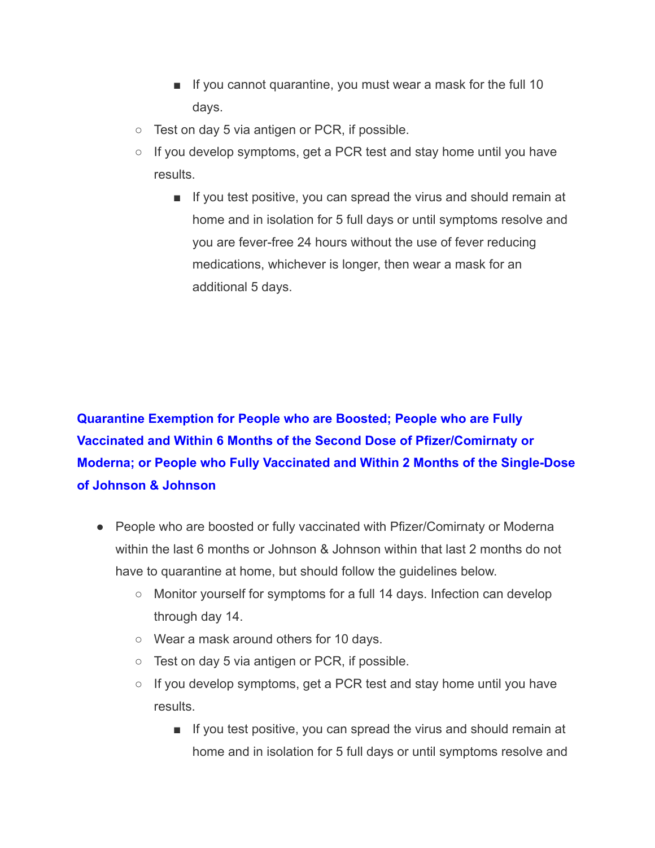- If you cannot quarantine, you must wear a mask for the full 10 days.
- Test on day 5 via antigen or PCR, if possible.
- $\circ$  If you develop symptoms, get a PCR test and stay home until you have results.
	- If you test positive, you can spread the virus and should remain at home and in isolation for 5 full days or until symptoms resolve and you are fever-free 24 hours without the use of fever reducing medications, whichever is longer, then wear a mask for an additional 5 days.

**Quarantine Exemption for People who are Boosted; People who are Fully Vaccinated and Within 6 Months of the Second Dose of Pfizer/Comirnaty or Moderna; or People who Fully Vaccinated and Within 2 Months of the Single-Dose of Johnson & Johnson**

- People who are boosted or fully vaccinated with Pfizer/Comirnaty or Moderna within the last 6 months or Johnson & Johnson within that last 2 months do not have to quarantine at home, but should follow the guidelines below.
	- Monitor yourself for symptoms for a full 14 days. Infection can develop through day 14.
	- Wear a mask around others for 10 days.
	- Test on day 5 via antigen or PCR, if possible.
	- If you develop symptoms, get a PCR test and stay home until you have results.
		- If you test positive, you can spread the virus and should remain at home and in isolation for 5 full days or until symptoms resolve and